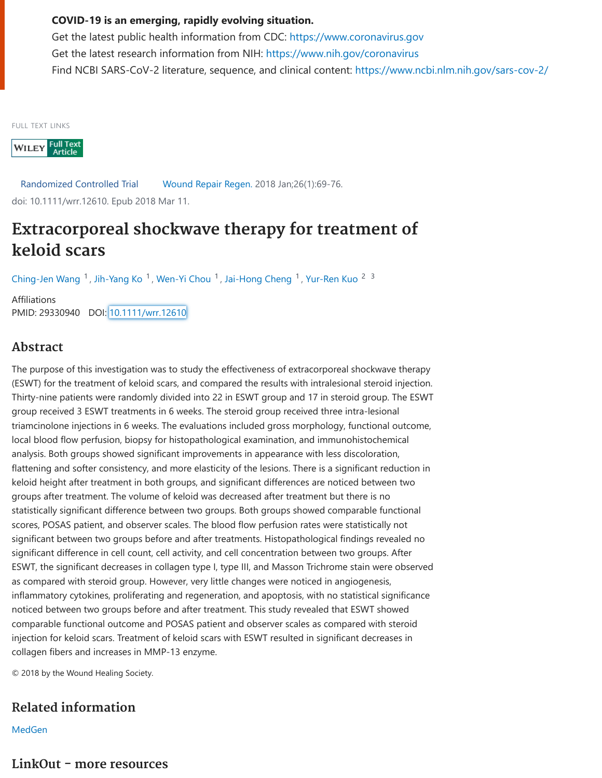## **COVID-19 is an emerging, rapidly evolving situation.**

Get the latest public health information from CDC: [https://www.coronavirus.gov](https://www.coronavirus.gov/) Get the latest research information from NIH: <https://www.nih.gov/coronavirus> Find NCBI SARS-CoV-2 literature, sequence, and clinical content: <https://www.ncbi.nlm.nih.gov/sars-cov-2/>

FULL TEXT LINKS

WILEY Full Text

Randomized Controlled Trial Wound Repair Regen. 2018 Jan;26(1):69-76. doi: 10.1111/wrr.12610. Epub 2018 Mar 11.

## **Extracorporeal shockwave therapy for treatment of keloid scars**

[Ching-Jen Wang](https://pubmed.ncbi.nlm.nih.gov/?term=Wang+CJ&cauthor_id=29330940) <sup>1</sup>, [Jih-Yang Ko](https://pubmed.ncbi.nlm.nih.gov/?term=Ko+JY&cauthor_id=29330940)<sup>1</sup>, [Wen-Yi Chou](https://pubmed.ncbi.nlm.nih.gov/?term=Chou+WY&cauthor_id=29330940) <sup>1</sup>, [Jai-Hong Cheng](https://pubmed.ncbi.nlm.nih.gov/?term=Cheng+JH&cauthor_id=29330940) <sup>1</sup>, [Yur-Ren Kuo](https://pubmed.ncbi.nlm.nih.gov/?term=Kuo+YR&cauthor_id=29330940) <sup>23</sup>

Affiliations PMID: 29330940 DOI: [10.1111/wrr.12610](https://doi.org/10.1111/wrr.12610)

## **Abstract**

The purpose of this investigation was to study the effectiveness of extracorporeal shockwave therapy (ESWT) for the treatment of keloid scars, and compared the results with intralesional steroid injection. Thirty-nine patients were randomly divided into 22 in ESWT group and 17 in steroid group. The ESWT group received 3 ESWT treatments in 6 weeks. The steroid group received three intra-lesional triamcinolone injections in 6 weeks. The evaluations included gross morphology, functional outcome, local blood flow perfusion, biopsy for histopathological examination, and immunohistochemical analysis. Both groups showed significant improvements in appearance with less discoloration, flattening and softer consistency, and more elasticity of the lesions. There is a significant reduction in keloid height after treatment in both groups, and significant differences are noticed between two groups after treatment. The volume of keloid was decreased after treatment but there is no statistically significant difference between two groups. Both groups showed comparable functional scores, POSAS patient, and observer scales. The blood flow perfusion rates were statistically not significant between two groups before and after treatments. Histopathological findings revealed no significant difference in cell count, cell activity, and cell concentration between two groups. After ESWT, the significant decreases in collagen type I, type III, and Masson Trichrome stain were observed as compared with steroid group. However, very little changes were noticed in angiogenesis, inflammatory cytokines, proliferating and regeneration, and apoptosis, with no statistical significance noticed between two groups before and after treatment. This study revealed that ESWT showed comparable functional outcome and POSAS patient and observer scales as compared with steroid injection for keloid scars. Treatment of keloid scars with ESWT resulted in significant decreases in collagen fibers and increases in MMP-13 enzyme.

© 2018 by the Wound Healing Society.

## **Related information**

[MedGen](https://www.ncbi.nlm.nih.gov/medgen/?linkname=pubmed_medgen&from_uid=29330940)